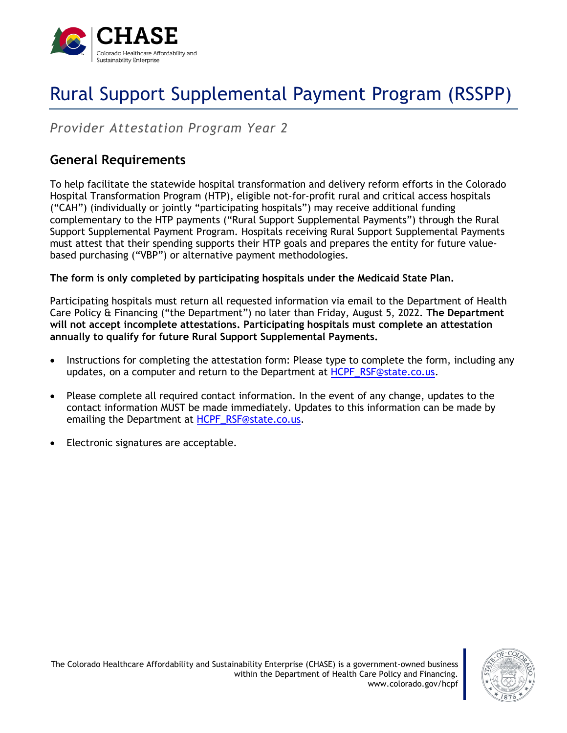

# Rural Support Supplemental Payment Program (RSSPP)

*Provider Attestation Program Year 2*

### **General Requirements**

To help facilitate the statewide hospital transformation and delivery reform efforts in the Colorado Hospital Transformation Program (HTP), eligible not-for-profit rural and critical access hospitals ("CAH") (individually or jointly "participating hospitals") may receive additional funding complementary to the HTP payments ("Rural Support Supplemental Payments") through the Rural Support Supplemental Payment Program. Hospitals receiving Rural Support Supplemental Payments must attest that their spending supports their HTP goals and prepares the entity for future valuebased purchasing ("VBP") or alternative payment methodologies.

**The form is only completed by participating hospitals under the Medicaid State Plan.**

Participating hospitals must return all requested information via email to the Department of Health Care Policy & Financing ("the Department") no later than Friday, August 5, 2022. **The Department will not accept incomplete attestations. Participating hospitals must complete an attestation annually to qualify for future Rural Support Supplemental Payments.**

- Instructions for completing the attestation form: Please type to complete the form, including any updates, on a computer and return to the Department at [HCPF\\_RSF@state.co.us.](mailto:HCPF_RSF@state.co.us)
- Please complete all required contact information. In the event of any change, updates to the contact information MUST be made immediately. Updates to this information can be made by emailing the Department at [HCPF\\_RSF@state.co.us.](mailto:HCPF_RSF@state.co.us)
- Electronic signatures are acceptable.

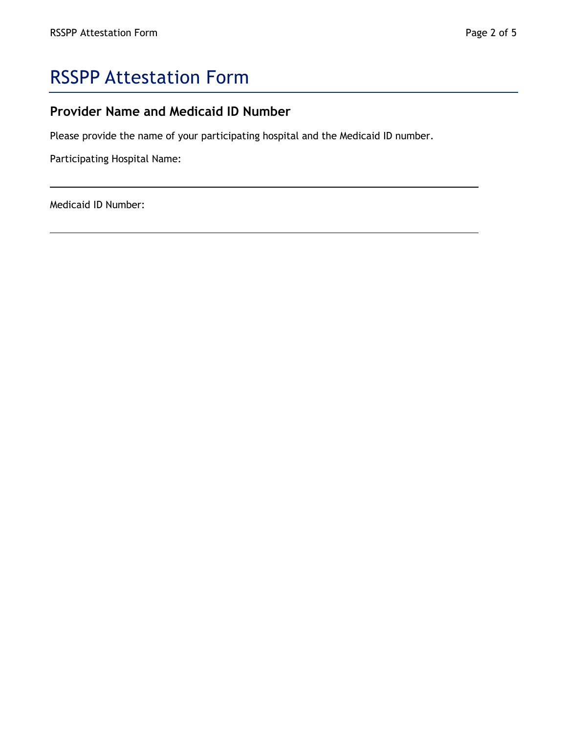## RSSPP Attestation Form

#### **Provider Name and Medicaid ID Number**

Please provide the name of your participating hospital and the Medicaid ID number.

Participating Hospital Name:

Medicaid ID Number: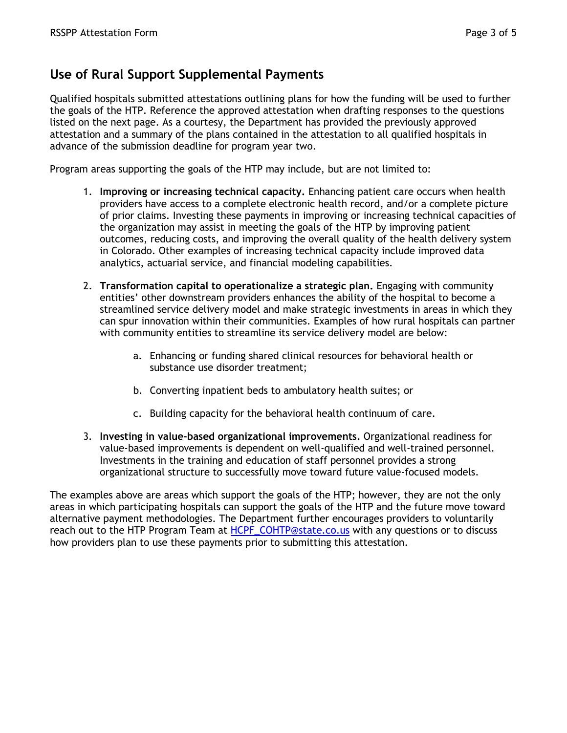#### **Use of Rural Support Supplemental Payments**

Qualified hospitals submitted attestations outlining plans for how the funding will be used to further the goals of the HTP. Reference the approved attestation when drafting responses to the questions listed on the next page. As a courtesy, the Department has provided the previously approved attestation and a summary of the plans contained in the attestation to all qualified hospitals in advance of the submission deadline for program year two.

Program areas supporting the goals of the HTP may include, but are not limited to:

- 1. **Improving or increasing technical capacity.** Enhancing patient care occurs when health providers have access to a complete electronic health record, and/or a complete picture of prior claims. Investing these payments in improving or increasing technical capacities of the organization may assist in meeting the goals of the HTP by improving patient outcomes, reducing costs, and improving the overall quality of the health delivery system in Colorado. Other examples of increasing technical capacity include improved data analytics, actuarial service, and financial modeling capabilities.
- 2. **Transformation capital to operationalize a strategic plan.** Engaging with community entities' other downstream providers enhances the ability of the hospital to become a streamlined service delivery model and make strategic investments in areas in which they can spur innovation within their communities. Examples of how rural hospitals can partner with community entities to streamline its service delivery model are below:
	- a. Enhancing or funding shared clinical resources for behavioral health or substance use disorder treatment;
	- b. Converting inpatient beds to ambulatory health suites; or
	- c. Building capacity for the behavioral health continuum of care.
- 3. **Investing in value-based organizational improvements.** Organizational readiness for value-based improvements is dependent on well-qualified and well-trained personnel. Investments in the training and education of staff personnel provides a strong organizational structure to successfully move toward future value-focused models.

The examples above are areas which support the goals of the HTP; however, they are not the only areas in which participating hospitals can support the goals of the HTP and the future move toward alternative payment methodologies. The Department further encourages providers to voluntarily reach out to the HTP Program Team at [HCPF\\_COHTP@state.co.us](mailto:HCPF_COHTP@state.co.us) with any questions or to discuss how providers plan to use these payments prior to submitting this attestation.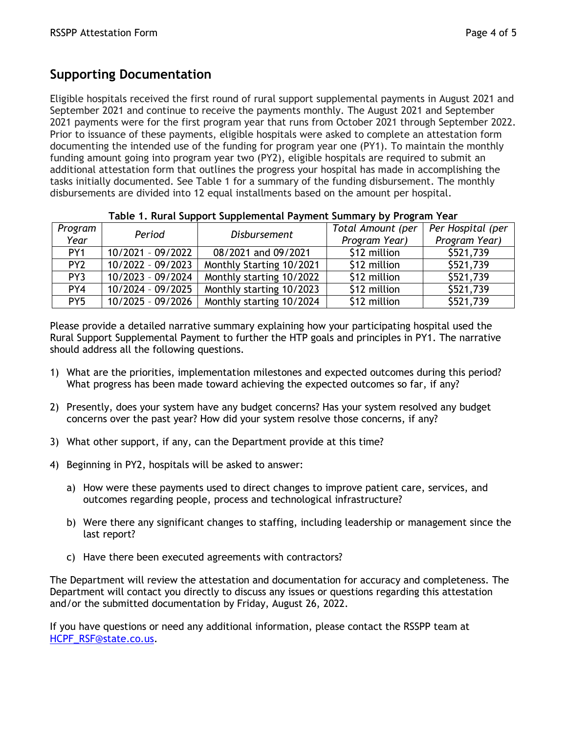#### **Supporting Documentation**

Eligible hospitals received the first round of rural support supplemental payments in August 2021 and September 2021 and continue to receive the payments monthly. The August 2021 and September 2021 payments were for the first program year that runs from October 2021 through September 2022. Prior to issuance of these payments, eligible hospitals were asked to complete an attestation form documenting the intended use of the funding for program year one (PY1). To maintain the monthly funding amount going into program year two (PY2), eligible hospitals are required to submit an additional attestation form that outlines the progress your hospital has made in accomplishing the tasks initially documented. See Table 1 for a summary of the funding disbursement. The monthly disbursements are divided into 12 equal installments based on the amount per hospital.

| Program         | Period              | <b>Disbursement</b>      | Total Amount (per | Per Hospital (per |
|-----------------|---------------------|--------------------------|-------------------|-------------------|
| Year            |                     |                          | Program Year)     | Program Year)     |
| PY <sub>1</sub> | 10/2021 - 09/2022   | 08/2021 and 09/2021      | \$12 million      | \$521,739         |
| PY <sub>2</sub> | $10/2022 - 09/2023$ | Monthly Starting 10/2021 | \$12 million      | \$521,739         |
| PY3             | 10/2023 - 09/2024   | Monthly starting 10/2022 | \$12 million      | \$521,739         |
| PY4             | 10/2024 - 09/2025   | Monthly starting 10/2023 | \$12 million      | \$521,739         |
| PY <sub>5</sub> | 10/2025 - 09/2026   | Monthly starting 10/2024 | \$12 million      | \$521,739         |

#### **Table 1. Rural Support Supplemental Payment Summary by Program Year**

Please provide a detailed narrative summary explaining how your participating hospital used the Rural Support Supplemental Payment to further the HTP goals and principles in PY1. The narrative should address all the following questions.

- 1) What are the priorities, implementation milestones and expected outcomes during this period? What progress has been made toward achieving the expected outcomes so far, if any?
- 2) Presently, does your system have any budget concerns? Has your system resolved any budget concerns over the past year? How did your system resolve those concerns, if any?
- 3) What other support, if any, can the Department provide at this time?
- 4) Beginning in PY2, hospitals will be asked to answer:
	- a) How were these payments used to direct changes to improve patient care, services, and outcomes regarding people, process and technological infrastructure?
	- b) Were there any significant changes to staffing, including leadership or management since the last report?
	- c) Have there been executed agreements with contractors?

The Department will review the attestation and documentation for accuracy and completeness. The Department will contact you directly to discuss any issues or questions regarding this attestation and/or the submitted documentation by Friday, August 26, 2022.

If you have questions or need any additional information, please contact the RSSPP team at [HCPF\\_RSF@state.co.us.](mailto:HCPF_RSF@state.co.us)